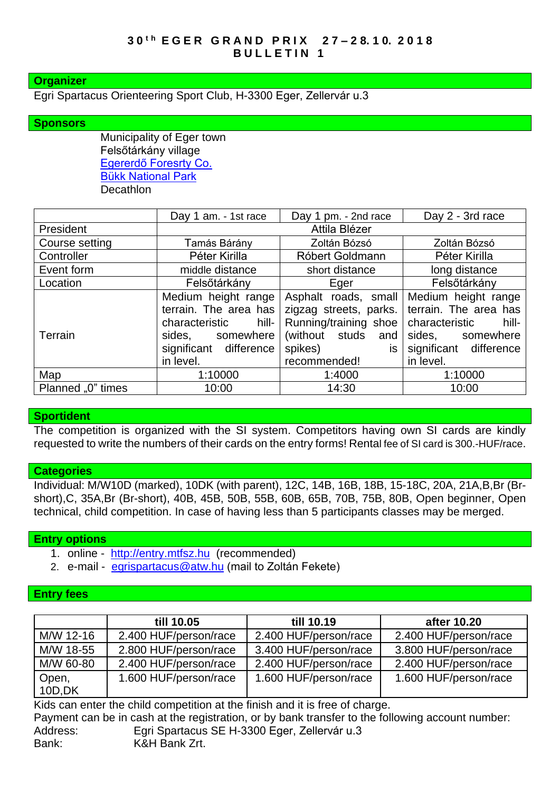## **Organizer**

Egri Spartacus Orienteering Sport Club, H-3300 Eger, Zellervár u.3

## **Sponsors**

Municipality of Eger town Felsőtárkány village [Egererdő Foresrty Co.](http://client4.springmedia.hu/) [Bükk National Park](http://en.bnpi.hu/) **Decathlon** 

|                   | Day 1 am. - 1st race      | Day 1 pm. - 2nd race   | Day 2 - 3rd race        |  |
|-------------------|---------------------------|------------------------|-------------------------|--|
| President         | Attila Blézer             |                        |                         |  |
| Course setting    | Tamás Bárány              | Zoltán Bózsó           | Zoltán Bózsó            |  |
| Controller        | Péter Kirilla             | Róbert Goldmann        | Péter Kirilla           |  |
| Event form        | middle distance           | short distance         | long distance           |  |
| Location          | Felsőtárkány              | Eger                   | Felsőtárkány            |  |
|                   | Medium height range       | Asphalt roads, small   | Medium height range     |  |
|                   | terrain. The area has     | zigzag streets, parks. | terrain. The area has   |  |
|                   | hill- l<br>characteristic | Running/training shoe  | characteristic<br>hill- |  |
| Terrain           | somewhere<br>sides.       | (without studs and     | sides, somewhere        |  |
|                   | significant difference    | is<br>spikes)          | significant difference  |  |
|                   | in level.                 | recommended!           | in level.               |  |
| Map               | 1:10000                   | 1:4000                 | 1:10000                 |  |
| Planned "0" times | 10:00                     | 14:30                  | 10:00                   |  |

#### **Sportident**

The competition is organized with the SI system. Competitors having own SI cards are kindly requested to write the numbers of their cards on the entry forms! Rental fee of SI card is 300.-HUF/race.

#### **Categories**

Individual: M/W10D (marked), 10DK (with parent), 12C, 14B, 16B, 18B, 15-18C, 20A, 21A,B,Br (Brshort),C, 35A,Br (Br-short), 40B, 45B, 50B, 55B, 60B, 65B, 70B, 75B, 80B, Open beginner, Open technical, child competition. In case of having less than 5 participants classes may be merged.

#### **Entry options**

- 1. online [http://entry.mtfsz.hu](http://entry.mtfsz.hu/) (recommended)
- 2. e-mail [egrispartacus@atw.hu](mailto:egrispartacus@atw.hu) (mail to Zoltán Fekete)

#### **Entry fees**

|                  | till 10.05            | till 10.19            | after 10.20           |
|------------------|-----------------------|-----------------------|-----------------------|
| M/W 12-16        | 2.400 HUF/person/race | 2.400 HUF/person/race | 2.400 HUF/person/race |
| M/W 18-55        | 2.800 HUF/person/race | 3.400 HUF/person/race | 3.800 HUF/person/race |
| M/W 60-80        | 2.400 HUF/person/race | 2.400 HUF/person/race | 2.400 HUF/person/race |
| Open,<br>10D, DK | 1.600 HUF/person/race | 1.600 HUF/person/race | 1.600 HUF/person/race |

Kids can enter the child competition at the finish and it is free of charge.

Payment can be in cash at the registration, or by bank transfer to the following account number: Address: Egri Spartacus SE H-3300 Eger, Zellervár u.3 Bank: K&H Bank Zrt.